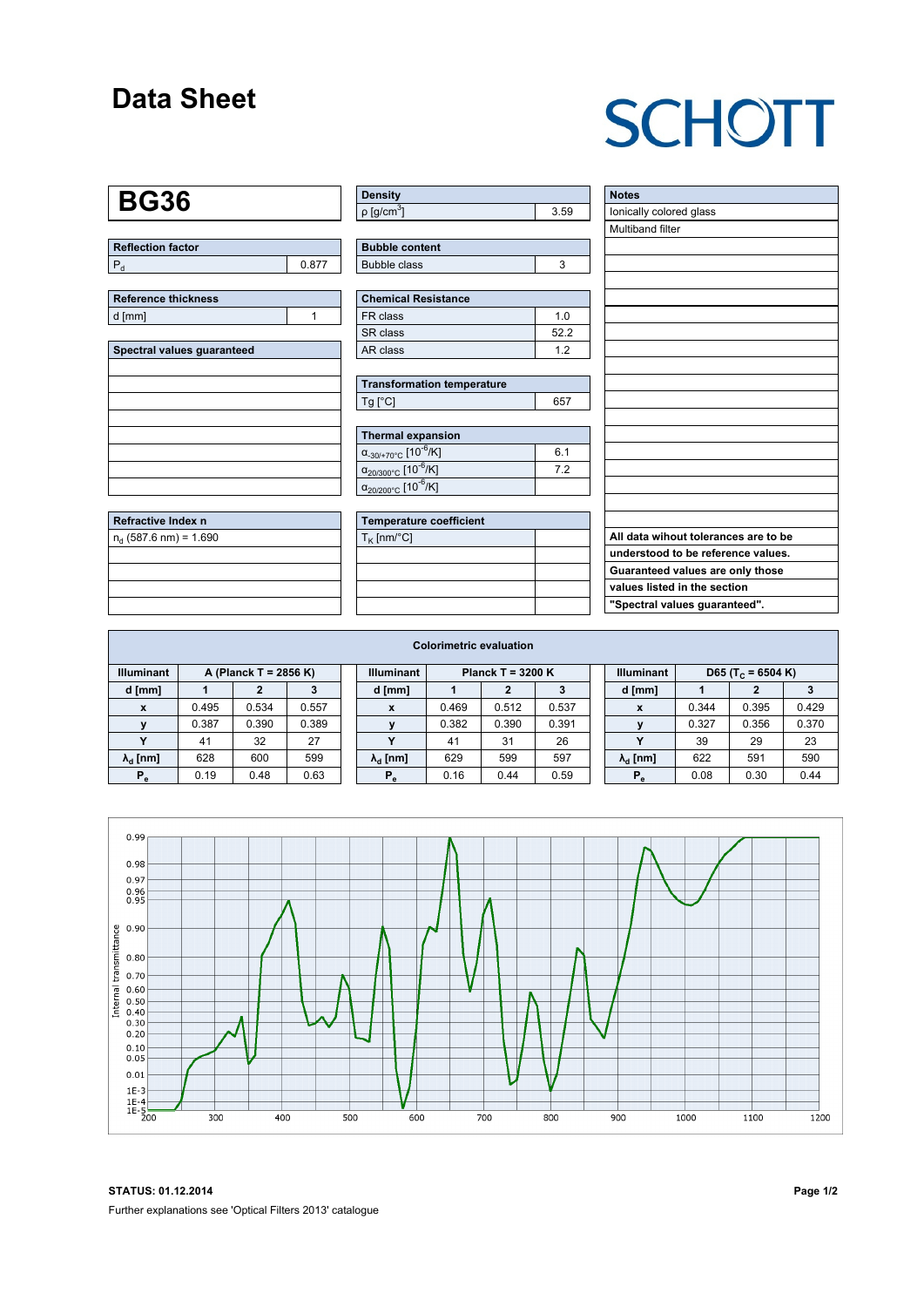#### **Data Sheet**

# **SCHOTT**

#### **BG36**

**Refractive Index n** n<sub>d</sub> (587.6 nm) = 1.690

**Reflection factor**  $P_d$  0.877

| <b>Reference thickness</b> |  |
|----------------------------|--|
| d [mm]                     |  |
|                            |  |

| Spectral values guaranteed |
|----------------------------|
|                            |
|                            |
|                            |
|                            |
|                            |
|                            |
|                            |
|                            |

| <b>Density</b>              |      |
|-----------------------------|------|
| $\rho$ [g/cm <sup>3</sup> ] | 3.59 |

| <b>Bubble content</b> |  |
|-----------------------|--|
| Bubble class          |  |

| <b>Chemical Resistance</b> |     |  |  |  |  |  |
|----------------------------|-----|--|--|--|--|--|
| FR class                   | 1 በ |  |  |  |  |  |
| SR class                   | 522 |  |  |  |  |  |
| AR class                   | ィっ  |  |  |  |  |  |

| <b>Transformation temperature</b> |     |
|-----------------------------------|-----|
| Tg [°C]                           | 657 |

| Thermal expansion                                 |     |
|---------------------------------------------------|-----|
| $\alpha_{.30/+70\degree}$ C [10 <sup>-6</sup> /K] | 6.1 |
| $\alpha_{20/300^{\circ}C}$ [10 <sup>-6</sup> /K]  | 72  |
| $\alpha_{20/200^{\circ}C}$ [10 $\overline{6}$ /K] |     |

|  | <b>Temperature coefficient</b> |
|--|--------------------------------|
|  | $T_K$ [nm/°C]                  |
|  |                                |
|  |                                |
|  |                                |
|  |                                |
|  |                                |

 $\sqrt{ }$ 

| <b>Notes</b>                         |
|--------------------------------------|
| lonically colored glass              |
| Multiband filter                     |
|                                      |
|                                      |
|                                      |
|                                      |
|                                      |
|                                      |
|                                      |
|                                      |
|                                      |
|                                      |
|                                      |
|                                      |
|                                      |
|                                      |
|                                      |
|                                      |
|                                      |
| All data wihout tolerances are to be |
| understood to be reference values.   |
| Guaranteed values are only those     |
| values listed in the section         |
| "Spectral values guaranteed".        |

| <b>Colorimetric evaluation</b> |       |                       |       |  |                                               |       |       |       |  |                                                    |       |       |       |
|--------------------------------|-------|-----------------------|-------|--|-----------------------------------------------|-------|-------|-------|--|----------------------------------------------------|-------|-------|-------|
| <b>Illuminant</b>              |       | A (Planck T = 2856 K) |       |  | <b>Illuminant</b><br><b>Planck T = 3200 K</b> |       |       |       |  | <b>Illuminant</b><br>D65 (T <sub>c</sub> = 6504 K) |       |       |       |
| d [mm]                         |       | 2                     |       |  | d [mm]                                        |       | 2     | з     |  | d [mm]                                             |       |       |       |
| X                              | 0.495 | 0.534                 | 0.557 |  | X                                             | 0.469 | 0.512 | 0.537 |  | X                                                  | 0.344 | 0.395 | 0.429 |
|                                | 0.387 | 0.390                 | 0.389 |  |                                               | 0.382 | 0.390 | 0.391 |  |                                                    | 0.327 | 0.356 | 0.370 |
|                                | 41    | 32                    | 27    |  | v                                             | 41    | 31    | 26    |  |                                                    | 39    | 29    | 23    |
| $\lambda_{\rm d}$ [nm]         | 628   | 600                   | 599   |  | $\lambda_{\rm d}$ [nm]                        | 629   | 599   | 597   |  | $\lambda_{\rm d}$ [nm]                             | 622   | 591   | 590   |
| $P_e$                          | 0.19  | 0.48                  | 0.63  |  | $P_e$                                         | 0.16  | 0.44  | 0.59  |  | $P_e$                                              | 0.08  | 0.30  | 0.44  |
|                                |       |                       |       |  |                                               |       |       |       |  |                                                    |       |       |       |



**STATUS: 01.12.2014 Page 1/2** Further explanations see 'Optical Filters 2013' catalogue